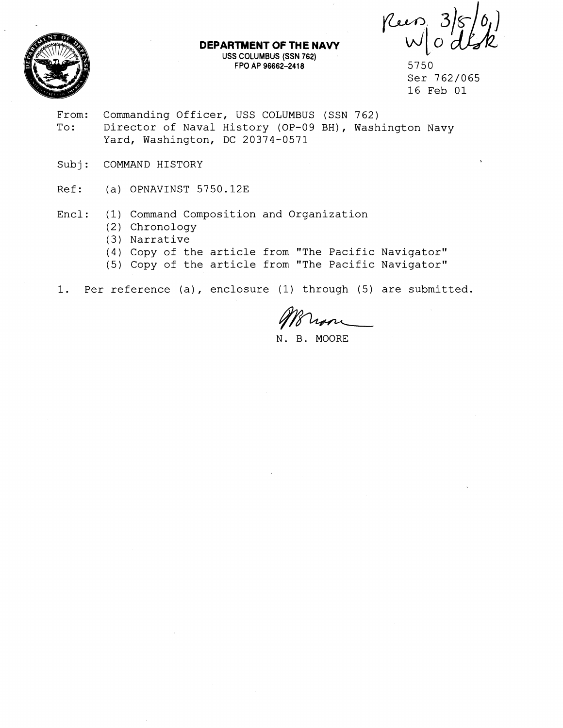Rus



**DEPARTMENT OF THE NAVY USS COLUMBUS (SSN 762) FPO AP 96662-241 8** 5750

Ser 762/065 16 Feb 01

- From: Commanding Officer, USS COLUMBUS (SSN 762) To: Director of Naval History (OP-09 BH), Washington Navy Yard, Washington, DC 20374-0571
- Subj: COMMAND HISTORY
- Ref: (a) OPNAVINST 5750.12E
- Encl: (1) Command Composition and Organization
	- (2) Chronology
	- (3) Narrative
	- (4) Copy of the article from "The Pacific Navigator"
	- (5) Copy of the article from "The Pacific Navigator"

1. Per reference (a), enclosure (1) through (5) are submitted.

N. B. MOORE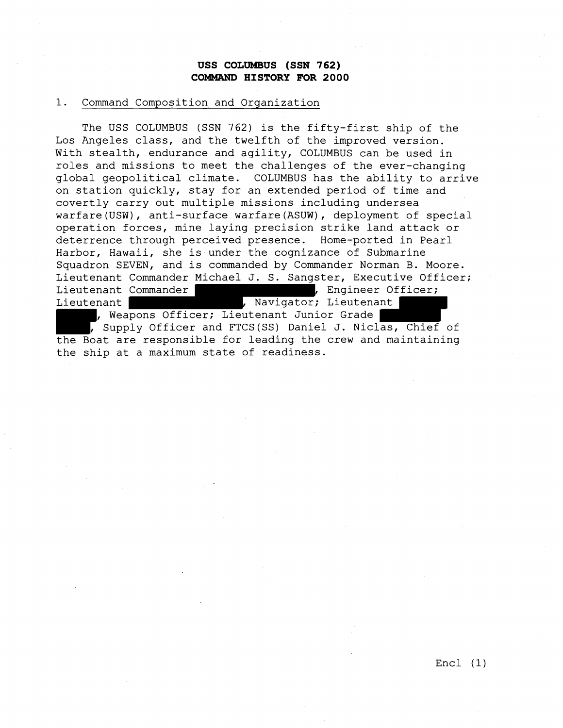## **USS COLUMBUS (SSN 762) COMMAND HISTORY FOR 2000**

#### 1. Command Composition and Organization

The USS COLUMBUS (SSN 762) is the fifty-first ship of the Los Angeles class, and the twelfth of the improved version. With stealth, endurance and agility, COLUMBUS can be used in roles and missions to meet the challenges of the ever-changing global geopolitical climate. COLUMBUS has the ability to arrive on station quickly, stay for an extended period of time and covertly carry out multiple missions including undersea warfare(USW), anti-surface warfare(ASUW), deployment of special operation forces, mine laying precision strike land attack or deterrence through perceived presence. Home-ported in Pearl Harbor, Hawaii, she is under the cognizance of Submarine Squadron SEVEN, and is commanded by Commander Norman B. Moore. Lieutenant Commander Michael J. S. Sangster, Executive Officer; Lieutenant Commander **(Edsimal Commander 1)**, Engineer Officer; Lieutenant (Eustermant , Navigator; Lieutenant , Weapons Officer; Lieutenant Junior Grade , Supply Officer and FTCS(SS) Daniel J. Niclas, Chief of the Boat are responsible for leading the crew and maintaining the ship at a maximum state of readiness.

Encl (1)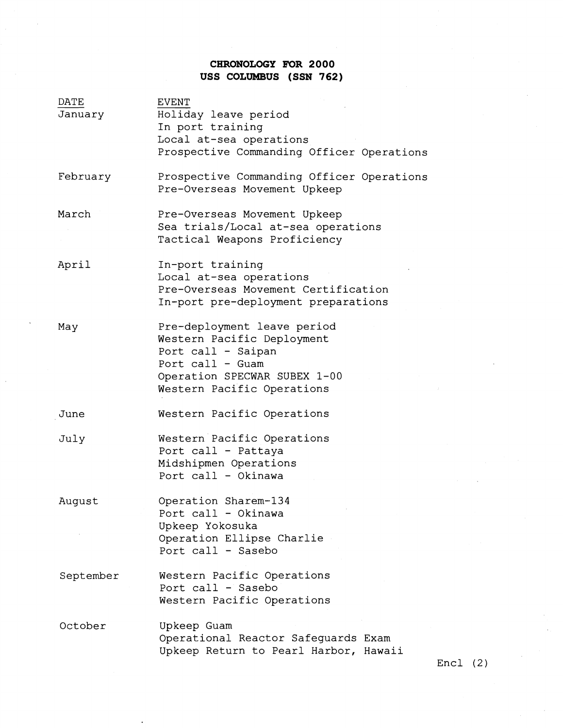# **CHRONOLOGY FOR 2000 USS COLUMBUS (SSN 762)**

| DATE<br>January | <b>EVENT</b><br>Holiday leave period<br>In port training<br>Local at-sea operations<br>Prospective Commanding Officer Operations                                  |
|-----------------|-------------------------------------------------------------------------------------------------------------------------------------------------------------------|
| February        | Prospective Commanding Officer Operations<br>Pre-Overseas Movement Upkeep                                                                                         |
| March           | Pre-Overseas Movement Upkeep<br>Sea trials/Local at-sea operations<br>Tactical Weapons Proficiency                                                                |
| April           | In-port training<br>Local at-sea operations<br>Pre-Overseas Movement Certification<br>In-port pre-deployment preparations                                         |
| May             | Pre-deployment leave period<br>Western Pacific Deployment<br>Port call - Saipan<br>Port call - Guam<br>Operation SPECWAR SUBEX 1-00<br>Western Pacific Operations |
| June            | Western Pacific Operations                                                                                                                                        |
| July            | Western Pacific Operations<br>Port call - Pattaya<br>Midshipmen Operations<br>Port call - Okinawa                                                                 |
| August          | Operation Sharem-134<br>Port call - Okinawa<br>Upkeep Yokosuka<br>Operation Ellipse Charlie<br>Port call - Sasebo                                                 |
| September       | Western Pacific Operations<br>Port call - Sasebo<br>Western Pacific Operations                                                                                    |
| October         | Upkeep Guam<br>Operational Reactor Safeguards Exam<br>Upkeep Return to Pearl Harbor, Hawaii                                                                       |

 $\ddot{\phantom{a}}$ 

Encl (2)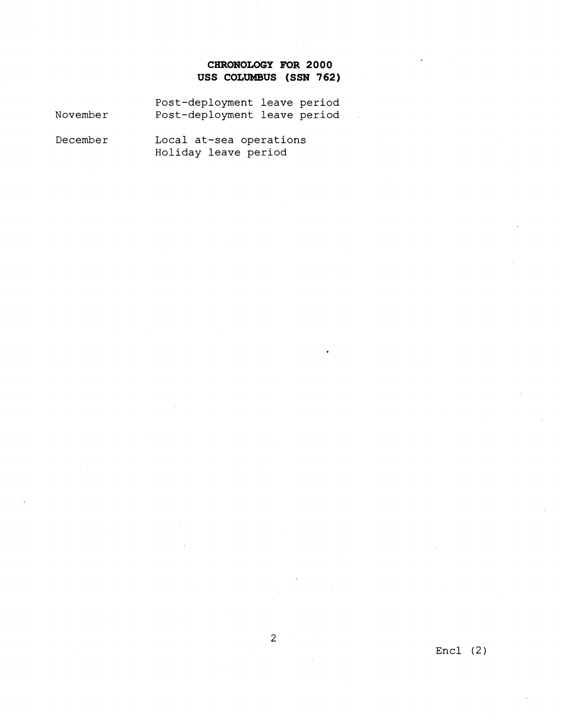# **CHRONOLOGY FOR 2000 USS COLUMBUS (SSN 762)**

November Post-deployment leave period Post-deployment leave period

December Local at-sea operations Holiday leave period

Encl (2)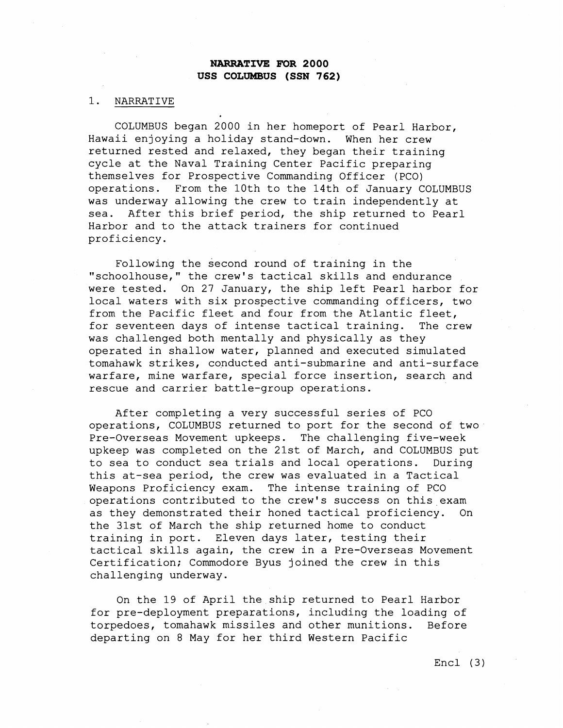#### 1. NARRATIVE

COLUMBUS began 2000 in her homeport of Pearl Harbor, Hawaii enjoying a holiday stand-down. When her crew returned rested and relaxed, they began their training cycle at the Naval Training Center Pacific preparing themselves for Prospective Commanding Officer (PCO) operations. From the 10th to the 14th of January COLUMBUS was underway allowing the crew to train independently at sea. After this brief period, the ship returned to Pearl Harbor and to the attack trainers for continued proficiency.

Following the second round of training in the "schoo1house," the crew's tactical skills and endurance were tested. On 27 January, the ship left Pearl harbor for local waters with six prospective commanding officers, two from the Pacific fleet and four from the Atlantic fleet, for seventeen days of intense tactical training. The crew was challenged both mentally and physically as they operated in shallow water, planned and executed simulated tomahawk strikes, conducted anti-submarine and anti-surface warfare, mine warfare, special force insertion, search and rescue and carrier battle-group operations.

After completing a very successful series of PC0 operations, COLUMBUS returned to port for the second of two Pre-Overseas Movement upkeeps. The challenging five-week upkeep was completed on the 21st of March, and COLUMBUS put to sea to conduct sea trials and local operations. During this at-sea period, the crew was evaluated in a Tactical Weapons Proficiency exam. The intense training of PC0 operations contributed to the crew's success on this exam as they demonstrated their honed tactical proficiency. On the 31st of March the ship returned home to conduct training in port. Eleven days later, testing their tactical skills again, the crew in a Pre-Overseas Movement Certification; Commodore Byus joined the crew in this challenging underway.

On the 19 of April the ship returned to Pearl Harbor for pre-deployment preparations, including the loading of torpedoes, tomahawk missiles and other munitions. Before departing on 8 May for her third Western Pacific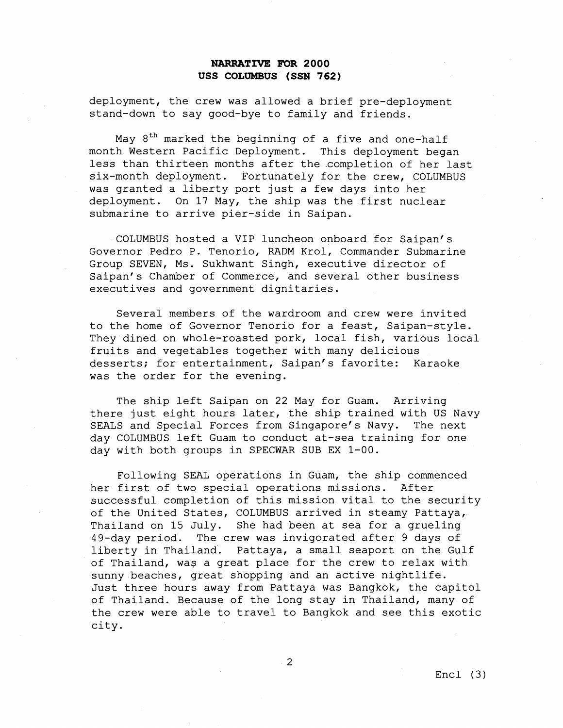deployment, the crew was allowed a brief pre-deployment stand-down to say good-bye to family and friends.

May  $8<sup>th</sup>$  marked the beginning of a five and one-half month Western Pacific Deployment. This deployment began less than thirteen months after the .completion of her last six-month deployment. Fortunately for the crew, COLUMBUS was granted a liberty port just a few days into her deployment. On 17 May, the ship was the first nuclear submarine to arrive pier-side in Saipan.

COLUMBUS hosted a VIP luncheon onboard for Saipan's Governor Pedro P. Tenorio, RADM Krol, Commander Submarine Group SEVEN, Ms. Sukhwant Singh, executive director of Saipan's Chamber of Commerce, and several other business executives and government dignitaries.

Several members of the wardroom and crew were invited to the home of Governor Tenorio for a feast, Saipan-style. They dined on whole-roasted pork, local fish, various local fruits and vegetables together with many delicious desserts; for entertainment, Saipan's favorite: Karaoke was the order for the evening.

The ship left Saipan on 22 May for Guam. Arriving there just eight hours later, the ship trained with US Navy SEALS and Special Forces from Singapore's Navy. The next day COLUMBUS left Guam to conduct at-sea training for one day with both groups in SPECWAR SUB EX 1-00.

Following SEAL operations in Guam, the ship commenced her first of two special operations missions. After successful completion of this mission vital to the security of the United States, COLUMBUS arrived in steamy Pattaya, Thailand on 15 July. She had been at sea for a grueling 49-day period. The crew was invigorated after 9 days of liberty in Thailand. Pattaya, a small seaport on the Gulf of Thailand, was a great place for the crew to relax with sunny beaches, great shopping and an active nightlife. Just three hours away from Pattaya was Bangkok, the capitol of Thailand. Because of the long stay in Thailand, many of the crew were able to travel to Bangkok and see this exotic city.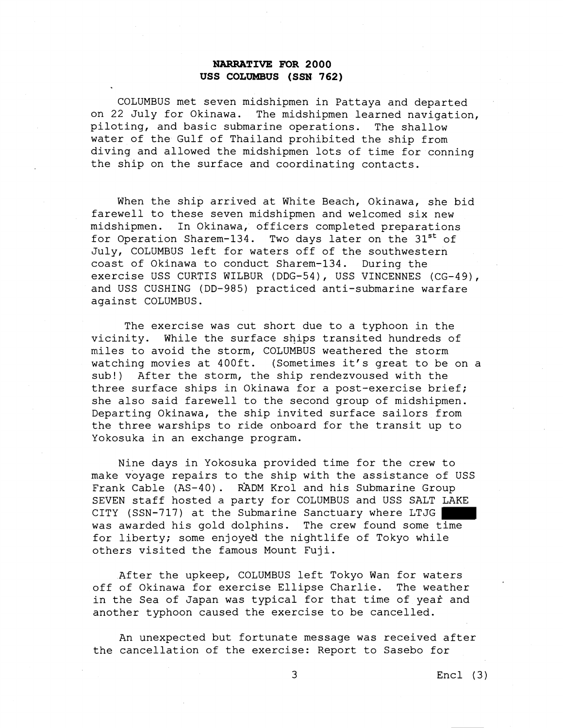COLUMBUS met seven midshipmen in Pattaya and departed on 22 July for Okinawa. The midshipmen learned navigation, piloting, and basic submarine operations. The shallow water of the Gulf of Thailand prohibited the ship from diving and allowed the midshipmen lots of time for conning the ship on the surface and coordinating contacts.

When the ship arrived at White Beach, Okinawa, she bid farewell to these seven midshipmen and welcomed six new midshipmen. In Okinawa, officers completed preparations for Operation Sharem-134. Two days later on the  $31^{st}$  of July, COLUMBUS left for waters off of the southwestern coast of Okinawa to conduct Sharem-134. During the exercise USS CURTIS WILBUR (DDG-54), USS VINCENNES (CG-49), and USS CUSHING (DD-985) practiced anti-submarine warfare against COLUMBUS.

The exercise was cut short due to a typhoon in the vicinity. While the surface ships transited hundreds of miles to avoid the storm, COLUMBUS weathered the storm watching movies at 400ft. (Sometimes it's great to be on a sub!) After the storm, the ship rendezvoused with the three surface ships in Okinawa for a post-exercise brief; she also said farewell to the second group of midshipmen. Departing Okinawa, the ship invited surface sailors from the three warships to ride onboard for the transit up to Yokosuka in an exchange program.

Nine days in Yokosuka provided time for the crew to make voyage repairs to the ship with the assistance of USS Frank Cable (AS-40). RADM Krol and his Submarine Group SEVEN staff hosted a party for COLUMBUS and USS SALT LAKE CITY (SSN-717) at the Submarine Sanctuary where LTJG was awarded his gold dolphins. The crew found some time for liberty; some enjoyed the nightlife of Tokyo while others visited the famous Mount Fuji.

After the upkeep, COLUMBUS left Tokyo Wan for waters off of Okinawa for exercise Ellipse Charlie. The weather in the Sea of Japan was typical for that time of yeaf and another typhoon caused the exercise to be cancelled.

An unexpected but fortunate message was received after the cancellation of the exercise: Report to Sasebo for

3 Encl (3)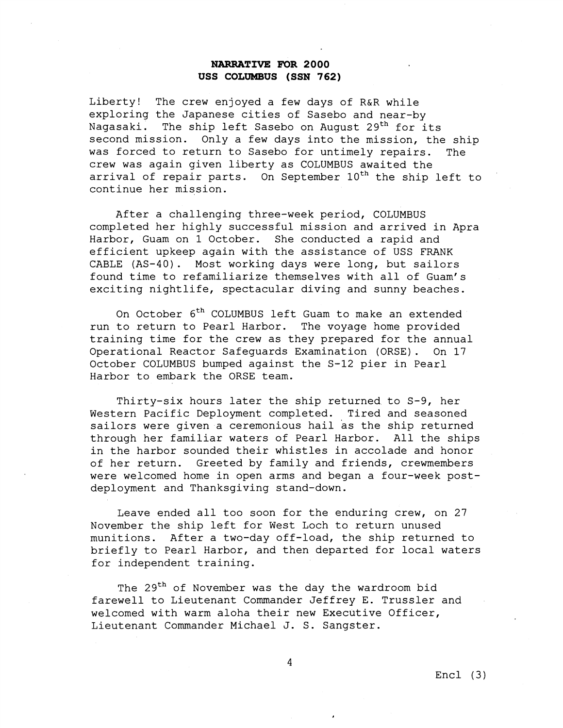Liberty! The crew enjoyed a few days of R&R while exploring the Japanese cities of Sasebo and near-by Nagasaki. The ship left Sasebo on August 29<sup>th</sup> for its second mission. Only a few days into the mission, the ship was forced to return to Sasebo for untimely repairs. The crew was again given liberty as COLUMBUS awaited the arrival of repair parts. On September  $10^{th}$  the ship left to continue her mission.

After a challenging three-week period, COLUMBUS completed her highly successful mission and arrived in Apra Harbor, Guam on 1 October. She conducted a rapid and efficient upkeep again with the assistance of USS FRANK CABLE (AS-40). Most working days were long, but sailors found time to refamiliarize themselves with all of Guam's exciting nightlife, spectacular diving and sunny beaches.

On October 6<sup>th</sup> COLUMBUS left Guam to make an extended run to return to Pearl Harbor. The voyage home provided training time for the crew as they prepared for the annual Operational Reactor Safeguards Examination (ORSE). On 17 October COLUMBUS bumped against the S-12 pier in Pearl Harbor to embark the ORSE team.

Thirty-six hours later the ship returned to S-9, her Western Pacific Deployment completed. Tired and seasoned sailors were given a ceremonious hail as the ship returned through her familiar waters of Pearl Harbor. All the ships in the harbor sounded their whistles in accolade and honor of her return. Greeted by family and friends, crewmembers were welcomed home in open arms and began a four-week postdeployment and Thanksgiving stand-down.

Leave ended all too soon for the enduring crew, on 27 November the ship left for West Loch to return unused munitions. After a two-day off-load, the ship returned to briefly to Pearl Harbor, and then departed for local waters for independent training.

The 29<sup>th</sup> of November was the day the wardroom bid farewell to Lieutenant Commander Jeffrey E. Trussler and welcomed with warm aloha their new Executive Officer, Lieutenant Commander Michael J. S. Sangster.